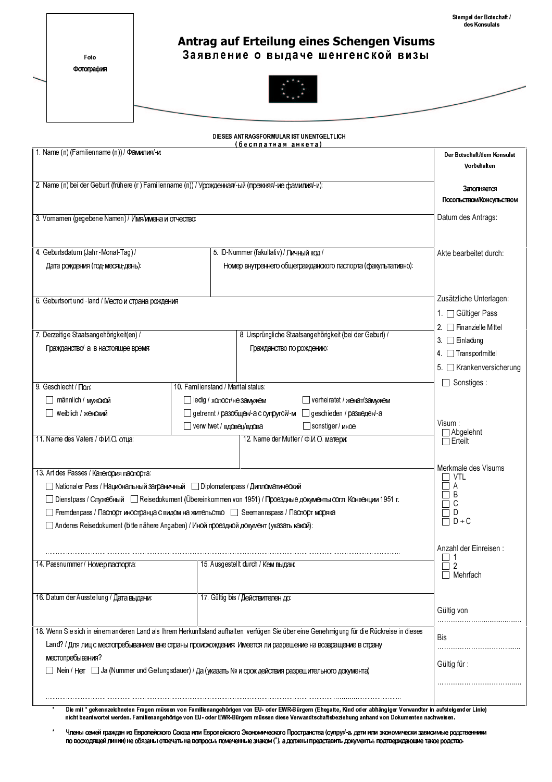/ Stempel der Botschaft<br>des Konsulats

Foto Фотография

## Antrag auf Erteilung eines Schengen Visums Заявление о выдаче шенгенской визы



|                                                                                                                                           |                                           | DIESES ANTRAGSFORMULAR IST UNENTGELTLICH<br>(бесплатная анкета)                                                                                             |                                         |  |  |
|-------------------------------------------------------------------------------------------------------------------------------------------|-------------------------------------------|-------------------------------------------------------------------------------------------------------------------------------------------------------------|-----------------------------------------|--|--|
| 1. Name (n) (Familienname (n)) / Фамилия/-и:                                                                                              | Der Botschaft/dem Konsulat<br>Vorbehalten |                                                                                                                                                             |                                         |  |  |
| 2. Name (n) bei der Geburt (frühere (г) Familienname (n)) / Урожденная/-ый (прежняя/-ие фамилия/-и):                                      |                                           |                                                                                                                                                             |                                         |  |  |
|                                                                                                                                           |                                           |                                                                                                                                                             | Заполняется<br>Посольством/Консульством |  |  |
| 3. Vornamen (gegebene Namen) / Имя/имена и отчество:                                                                                      |                                           |                                                                                                                                                             | Datum des Antrags:                      |  |  |
|                                                                                                                                           |                                           |                                                                                                                                                             |                                         |  |  |
| 4. Geburtsdatum (Jahr -Monat-Tag) /                                                                                                       |                                           | 5. ID-Nummer (fakultativ) / Личный код /                                                                                                                    | Akte bearbeitet durch:                  |  |  |
| Дата рождения (год-месяц-день):                                                                                                           |                                           | Номер внутреннего общегражданского паспорта (факультативно):                                                                                                |                                         |  |  |
| 6. Geburtsort und -land / Место и страна рождения                                                                                         |                                           |                                                                                                                                                             | Zusätzliche Unterlagen:                 |  |  |
|                                                                                                                                           |                                           |                                                                                                                                                             | 1. Gültiger Pass                        |  |  |
|                                                                                                                                           |                                           |                                                                                                                                                             | 2. Finanzielle Mittel                   |  |  |
| 7. Derzeitige Staatsangehörigkeit(en) /<br>Гражданство/-а в настоящее время:                                                              |                                           | 8. Ursprüngliche Staatsangehörigkeit (bei der Geburt) /<br>Гражданство по рождению:                                                                         | $3.$ $\Box$ Einladung                   |  |  |
|                                                                                                                                           |                                           |                                                                                                                                                             | 4 Transportmittel                       |  |  |
|                                                                                                                                           |                                           |                                                                                                                                                             | 5. Krankenversicherung                  |  |  |
| 9. Geschlecht / Пол.                                                                                                                      | 10. Familienstand / Marital status:       |                                                                                                                                                             |                                         |  |  |
| männlich / мужской                                                                                                                        | ledig / холост/не замужем                 | verheiratet / женат/замужем                                                                                                                                 |                                         |  |  |
| weiblich / женский                                                                                                                        |                                           | getrennt / разобщен/-а с супругой/-м geschieden / разведен/-а                                                                                               |                                         |  |  |
|                                                                                                                                           | verwitwet / вдовец/вдова                  | Sonstiger / иное                                                                                                                                            | $V$ isum :                              |  |  |
| 11. Name des Vaters / Ф.И.О. отца:                                                                                                        | ⊤Abgelehnt<br>$\Box$ Erteilt              |                                                                                                                                                             |                                         |  |  |
|                                                                                                                                           |                                           |                                                                                                                                                             |                                         |  |  |
| 13. Art des Passes / Категория паспорта:                                                                                                  | Merkmale des Visums<br>VTL                |                                                                                                                                                             |                                         |  |  |
| Nationaler Pass / Национальный заграничный Diplomatenpass / Дипломатический                                                               |                                           |                                                                                                                                                             | А                                       |  |  |
|                                                                                                                                           |                                           | П Dienstpass / Служебный П Reisedokument (Übereinkommen von 1951) / Проездные документы согл. Конвенции 1951 г.                                             | B<br>С                                  |  |  |
| Fremdenpass / Паспорт иностранца с видом на жительство   Seemannspass / Паспорт моряка                                                    | D                                         |                                                                                                                                                             |                                         |  |  |
| □ Anderes Reisedokument (bitte nähere Angaben) / Иной проездной документ (указать какой):                                                 |                                           |                                                                                                                                                             | $D + C$                                 |  |  |
|                                                                                                                                           |                                           |                                                                                                                                                             | Anzahl der Einreisen:                   |  |  |
| 14. Passnummer / Homep nacnopra:                                                                                                          |                                           | 15. Ausgestellt durch / Кем выдан:                                                                                                                          | $\overline{2}$                          |  |  |
|                                                                                                                                           |                                           |                                                                                                                                                             | $\Box$ Mehrfach                         |  |  |
| 16. Datum der Ausstellung / Дата выдачи:                                                                                                  |                                           | 17. Gültig bis / Действителен до:                                                                                                                           |                                         |  |  |
|                                                                                                                                           |                                           |                                                                                                                                                             | Gültig von                              |  |  |
| 18. Wenn Sie sich in einem anderen Land als Ihrem Herkunftsland aufhalten, verfügen Sie über eine Genehmigung für die Rückreise in dieses | Bis                                       |                                                                                                                                                             |                                         |  |  |
| Land? / Для лиц с местопребыванием вне страны происхождения: Имеется ли разрешение на возвращение в страну                                |                                           |                                                                                                                                                             |                                         |  |  |
| местопребывания?                                                                                                                          | Gültig für:                               |                                                                                                                                                             |                                         |  |  |
|                                                                                                                                           |                                           |                                                                                                                                                             |                                         |  |  |
|                                                                                                                                           |                                           |                                                                                                                                                             |                                         |  |  |
|                                                                                                                                           |                                           | Die mit * gekennzeichneten Fragen müssen von Familienangehörigen von EU- oder EWR-Rürgem (Ebegatte, Kind oder abhängiger Verwandter in aufsteigender Linie) |                                         |  |  |

المستعدد المستعدد المستعدد المستعدد المستعدد المستعدد المستعدد المستعدد المستعدد المستعدد المستعدد المستعدد ال<br>Inicht beantwortet werden. Familienangehörige von EU- oder EWR-Bürgern müssen diese Verwandtschaftsbeziehung a

Члены семей граждан из Европейского Союза или Европейского Экономического Пространства (супруг/-а, дети или экономически зависимые родственники по восходящей линии) не обязаны отвечать на вопросы, помеченные знаком (\*), а должны представить документы, подтверждающие такое родство.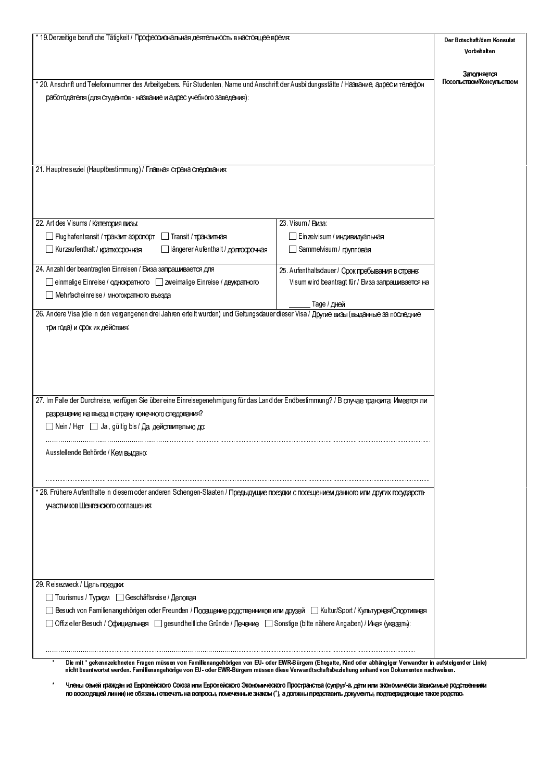| * 19. Derzeitige berufliche Tätigkeit / Профессиональная деятельность в настоящее время:                                                                                                                                                                                                                     | Der Botschaft/dem Konsulat                       |                                         |
|--------------------------------------------------------------------------------------------------------------------------------------------------------------------------------------------------------------------------------------------------------------------------------------------------------------|--------------------------------------------------|-----------------------------------------|
|                                                                                                                                                                                                                                                                                                              | Vorbehalten                                      |                                         |
|                                                                                                                                                                                                                                                                                                              |                                                  |                                         |
| * 20. Anschrift und Telefonnummer des Arbeitgebers. Für Studenten, Name und Anschrift der Ausbildungsstätte / HasBaHue, agpec u телефон                                                                                                                                                                      |                                                  | Заполняется<br>Посольством/Консульством |
| работодателя (для студентов - название и адрес учебного заведения):                                                                                                                                                                                                                                          |                                                  |                                         |
|                                                                                                                                                                                                                                                                                                              |                                                  |                                         |
|                                                                                                                                                                                                                                                                                                              |                                                  |                                         |
|                                                                                                                                                                                                                                                                                                              |                                                  |                                         |
|                                                                                                                                                                                                                                                                                                              |                                                  |                                         |
|                                                                                                                                                                                                                                                                                                              |                                                  |                                         |
| 21. Hauptreiseziel (Hauptbestimmung) / Главная страна следования:                                                                                                                                                                                                                                            |                                                  |                                         |
|                                                                                                                                                                                                                                                                                                              |                                                  |                                         |
|                                                                                                                                                                                                                                                                                                              |                                                  |                                         |
|                                                                                                                                                                                                                                                                                                              |                                                  |                                         |
| 22. Art des Visums / Категория визы:                                                                                                                                                                                                                                                                         | 23. Visum / Виза:                                |                                         |
| Flughafentransit / транзит-аэропорт<br><b>∏Transit / транзитная</b>                                                                                                                                                                                                                                          | Einzelvisum / индивидуальная                     |                                         |
| längerer Aufenthalt / долгосрочная<br>Kurzaufenthalt / краткосрочная                                                                                                                                                                                                                                         | Sammelvisum / групповая                          |                                         |
| 24. Anzahl der beantragten Einreisen / Виза запрашивается для                                                                                                                                                                                                                                                | 25. Aufenthaltsdauer / Срок пребывания в стране: |                                         |
| einmalige Einreise / однократного   zweimalige Einreise / двукратного                                                                                                                                                                                                                                        | Visum wird beantragt für / Виза запрашивается на |                                         |
| Mehrfacheinreise / многократного въезда                                                                                                                                                                                                                                                                      |                                                  |                                         |
| 26. Andere Visa (die in den vergangenen drei Jahren erteilt wurden) und Geltungsdauer dieser Visa / Другие визы (выданные за последние                                                                                                                                                                       | Таде / дней                                      |                                         |
|                                                                                                                                                                                                                                                                                                              |                                                  |                                         |
| три года) и срок их действия:                                                                                                                                                                                                                                                                                |                                                  |                                         |
|                                                                                                                                                                                                                                                                                                              |                                                  |                                         |
|                                                                                                                                                                                                                                                                                                              |                                                  |                                         |
|                                                                                                                                                                                                                                                                                                              |                                                  |                                         |
|                                                                                                                                                                                                                                                                                                              |                                                  |                                         |
| 27. Im Falle der Durchreise, verfügen Sie über eine Einreisegenehmigung für das Land der Endbestimmung? / В случае транзита: Имеется ли                                                                                                                                                                      |                                                  |                                         |
| разрешение на въезд в страну конечного следования?                                                                                                                                                                                                                                                           |                                                  |                                         |
| $\Box$ Nein / Нет $\Box$ Ja, gültig bis / Да, действительно до:                                                                                                                                                                                                                                              |                                                  |                                         |
|                                                                                                                                                                                                                                                                                                              |                                                  |                                         |
| Ausstellende Behörde / Кем выдано:                                                                                                                                                                                                                                                                           |                                                  |                                         |
|                                                                                                                                                                                                                                                                                                              |                                                  |                                         |
|                                                                                                                                                                                                                                                                                                              |                                                  |                                         |
| * 28. Frühere Aufenthalte in diesem oder anderen Schengen-Staaten / Предыдущие поездки с посещением данного или других государств-                                                                                                                                                                           |                                                  |                                         |
| участников Шенгенского соглашения:                                                                                                                                                                                                                                                                           |                                                  |                                         |
|                                                                                                                                                                                                                                                                                                              |                                                  |                                         |
|                                                                                                                                                                                                                                                                                                              |                                                  |                                         |
|                                                                                                                                                                                                                                                                                                              |                                                  |                                         |
|                                                                                                                                                                                                                                                                                                              |                                                  |                                         |
|                                                                                                                                                                                                                                                                                                              |                                                  |                                         |
| 29. Reisezweck / Цель поездки:                                                                                                                                                                                                                                                                               |                                                  |                                         |
| □ Tourismus / Туризм □ Geschäftsreise / Деловая                                                                                                                                                                                                                                                              |                                                  |                                         |
| _ Besuch von Familienangehörigen oder Freunden / Посещение родственников или друзей _ __ Kultur/Sport / Культурная/Спортивная                                                                                                                                                                                |                                                  |                                         |
| ∏ Offizieller Besuch / Официальная     ∏ gesundheitliche Gründe / Лечение     ∏ Sonstige (bitte nähere Angaben) / Иная (указать):                                                                                                                                                                            |                                                  |                                         |
|                                                                                                                                                                                                                                                                                                              |                                                  |                                         |
|                                                                                                                                                                                                                                                                                                              |                                                  |                                         |
| Die mit * gekennzeichneten Fragen müssen von Familienangehörigen von EU- oder EWR-Bürgem (Ehegatte, Kind oder abhängiger Verwandter in aufsteigender Linie)<br>nicht beantwortet werden. Familienangehörige von EU- oder EWR-Bürgern müssen diese Verwandtschaftsbeziehung anhand von Dokumenten nachweisen. |                                                  |                                         |

 $\star$  <sup>6</sup> 7 67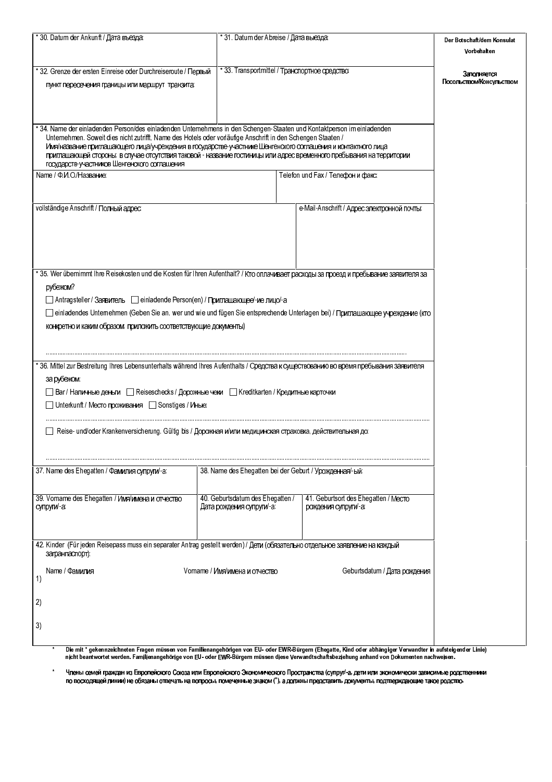| *30. Datum der Ankunft / Дата въезда:                                                                                                                                                                                                                                                                                                                                                                                                                                                                                           |                                                               | * 31. Datum der Abreise / Дата выезда:                       |             |  |  |  |
|---------------------------------------------------------------------------------------------------------------------------------------------------------------------------------------------------------------------------------------------------------------------------------------------------------------------------------------------------------------------------------------------------------------------------------------------------------------------------------------------------------------------------------|---------------------------------------------------------------|--------------------------------------------------------------|-------------|--|--|--|
|                                                                                                                                                                                                                                                                                                                                                                                                                                                                                                                                 |                                                               |                                                              | Vorbehalten |  |  |  |
| * 32. Grenze der ersten Einreise oder Durchreiseroute / Первый<br>пункт пересечения границы или маршрут транзита:                                                                                                                                                                                                                                                                                                                                                                                                               | * 33. Transportmittel / Транспортное средство:                | Заполняется<br>Посольством/Консульством                      |             |  |  |  |
| * 34. Name der einladenden Person/des einladenden Unternehmens in den Schengen-Staaten und Kontaktperson im einladenden<br>Unternehmen. Soweit dies nicht zutrifft, Name des Hotels oder vorläufige Anschrift in den Schengen Staaten /<br>Имя/название приглашающего лица/учреждения в государстве-участнике Шенгенского соглашения и контактного лица<br>приглашающей стороны; в случае отсутствия таковой - название гостиницы или адрес временного пребывания на территории<br>государств-участников Шенгенского соглашения |                                                               |                                                              |             |  |  |  |
| Name / Ф.И.О./Название:                                                                                                                                                                                                                                                                                                                                                                                                                                                                                                         |                                                               | Telefon und Fax / Телефон и факс:                            |             |  |  |  |
| vollständige Anschrift / Полный адрес:                                                                                                                                                                                                                                                                                                                                                                                                                                                                                          | e-Mail-Anschrift / Адрес электронной почты:                   |                                                              |             |  |  |  |
| * 35. Wer übernimmt ihre Reisekosten und die Kosten für ihren Aufenthalt? / Кто оплачивает расходы за проезд и пребывание заявителя за<br>рубежом?<br>Antragsteller / Заявитель   einladende Person(en) / Приглашающее/-ие лицо/-а<br>einladendes Unternehmen (Geben Sie an, wer und wie und fügen Sie entsprechende Unterlagen bei) / Приглашающее учреждение (кто<br>конкретно и каким образом; приложить соответствующие документы)                                                                                          |                                                               |                                                              |             |  |  |  |
|                                                                                                                                                                                                                                                                                                                                                                                                                                                                                                                                 |                                                               |                                                              |             |  |  |  |
| * 36. Mittel zur Bestreitung Ihres Lebensunterhalts während Ihres Aufenthalts / Средства к существованию во время пребывания заявителя<br>за рубежом:                                                                                                                                                                                                                                                                                                                                                                           |                                                               |                                                              |             |  |  |  |
| ПВаг / Наличные деньги ПП Reiseschecks / Дорожные чеки ПП Kreditkarten / Кредитные карточки<br>JUnterkunft / Место проживания JSonstiges / Иные:                                                                                                                                                                                                                                                                                                                                                                                |                                                               |                                                              |             |  |  |  |
| Reise- und/oder Krankenversicherung. Gültig bis / Дорожная и/или медицинская страховка, действительная до                                                                                                                                                                                                                                                                                                                                                                                                                       |                                                               |                                                              |             |  |  |  |
| 37. Name des Ehegatten / Фамилия супруги/-а:                                                                                                                                                                                                                                                                                                                                                                                                                                                                                    | 38. Name des Ehegatten bei der Geburt / Урожденная/-ый:       |                                                              |             |  |  |  |
| 39. Vorname des Ehegatten / Имя/имена и отчество<br>супруги/-а:                                                                                                                                                                                                                                                                                                                                                                                                                                                                 | 40. Geburtsdatum des Ehegatten /<br>Дата рождения супруги/-а: | 41. Geburtsort des Ehegatten / Mecro<br>рождения супруги/-а: |             |  |  |  |
| 42. Kinder (Für jeden Reisepass muss ein separater Antrag gestellt werden) / Дети (обязательно отдельное заявление на каждый<br>загранпаспорт):                                                                                                                                                                                                                                                                                                                                                                                 |                                                               |                                                              |             |  |  |  |
| Name / Фамилия<br>1)<br>2)                                                                                                                                                                                                                                                                                                                                                                                                                                                                                                      | Vomame / Имя/имена и отчество                                 | Geburtsdatum / Дата рождения                                 |             |  |  |  |
| 3)                                                                                                                                                                                                                                                                                                                                                                                                                                                                                                                              |                                                               |                                                              |             |  |  |  |
| Die mit * gekennzeichneten Fragen müssen von Familienangehörigen von EU- oder EWR-Bürgem (Ehegatte, Kind oder abhängiger Verwandter in aufsteigender Linie)                                                                                                                                                                                                                                                                                                                                                                     |                                                               |                                                              |             |  |  |  |

المستعدد المستعدد المستعدد المستعدد المستعدد المستعدد المستعدد المستعدد المستعدد المستعدد المستعدد المستعدد ال<br>Inicht beantwortet werden. Familienangehörige von EU- oder EWR-Bürgern müssen diese Verwandtschaftsbeziehung a

Члены семей граждан из Европейского Союза или Европейского Экономического Пространства (супруг/-а, дети или экономически зависимые родственники<br>по восходящей линии) не обязаны отвечать на вопросы, помеченные знаком (\*), а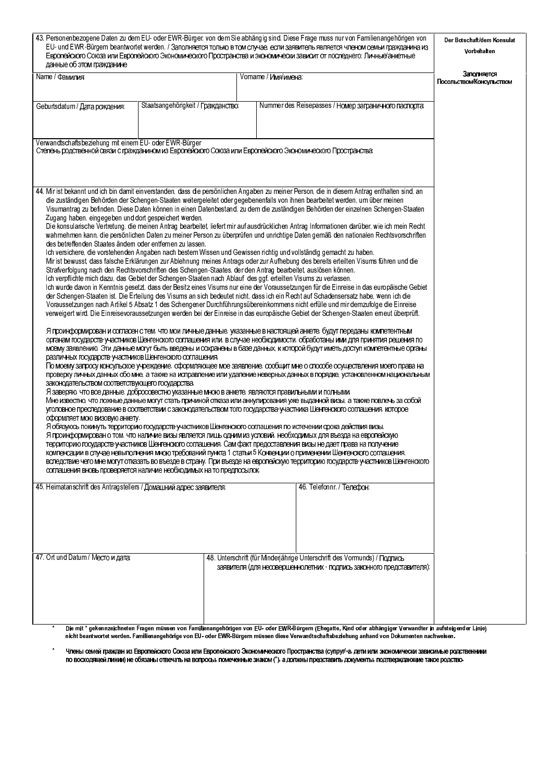| 43. Personenbezogene Daten zu dem EU- oder EWR-Bürger, von dem Sie abhängig sind. Diese Frage muss nur von Familienangehörigen von<br>EU- und EWR-Bürgern beantwortet werden. / Заполняется только в том случае, если заявитель является членом семьи гражданина из<br>Европейского Союза или Европейского Экономического Пространства и экономически зависит от последнего: Личные/анкетные<br>данные об этом гражданине                                                                                                                                                                                                                                                                                                                                                                                                                                                                                                                                                                                                                                                                                                                                                                                                                                                                                                                                                                                                                                                                                                                                                                                                                                                                                                                                                                                                                                              | Der Botschaft/dem Konsulat<br>Vorbehalten |  |                                                                                                                                                                                                                                                                                                                  |  |
|------------------------------------------------------------------------------------------------------------------------------------------------------------------------------------------------------------------------------------------------------------------------------------------------------------------------------------------------------------------------------------------------------------------------------------------------------------------------------------------------------------------------------------------------------------------------------------------------------------------------------------------------------------------------------------------------------------------------------------------------------------------------------------------------------------------------------------------------------------------------------------------------------------------------------------------------------------------------------------------------------------------------------------------------------------------------------------------------------------------------------------------------------------------------------------------------------------------------------------------------------------------------------------------------------------------------------------------------------------------------------------------------------------------------------------------------------------------------------------------------------------------------------------------------------------------------------------------------------------------------------------------------------------------------------------------------------------------------------------------------------------------------------------------------------------------------------------------------------------------------|-------------------------------------------|--|------------------------------------------------------------------------------------------------------------------------------------------------------------------------------------------------------------------------------------------------------------------------------------------------------------------|--|
| Name / Фамилия:<br>Vorname / Имя/имена:                                                                                                                                                                                                                                                                                                                                                                                                                                                                                                                                                                                                                                                                                                                                                                                                                                                                                                                                                                                                                                                                                                                                                                                                                                                                                                                                                                                                                                                                                                                                                                                                                                                                                                                                                                                                                                |                                           |  | Заполняется<br>Посольством/Консульством                                                                                                                                                                                                                                                                          |  |
| Geburtsdatum / Дата рождения:                                                                                                                                                                                                                                                                                                                                                                                                                                                                                                                                                                                                                                                                                                                                                                                                                                                                                                                                                                                                                                                                                                                                                                                                                                                                                                                                                                                                                                                                                                                                                                                                                                                                                                                                                                                                                                          | Staatsangehörigkeit / Гражданство:        |  | Nummer des Reisepasses / Номер заграничного паспорта:                                                                                                                                                                                                                                                            |  |
| Verwandtschaftsbeziehung mit einem EU- oder EWR-Bürger<br>Степень родственной связи с гражданином из Европейского Союза или Европейского Экономического Пространства:<br>44. Mir ist bekannt und ich bin damit einverstanden, dass die persönlichen Angaben zu meiner Person, die in diesem Antrag enthalten sind, an                                                                                                                                                                                                                                                                                                                                                                                                                                                                                                                                                                                                                                                                                                                                                                                                                                                                                                                                                                                                                                                                                                                                                                                                                                                                                                                                                                                                                                                                                                                                                  |                                           |  |                                                                                                                                                                                                                                                                                                                  |  |
| die zuständigen Behörden der Schengen-Staaten weitergeleitet oder gegebenenfalls von ihnen bearbeitet werden, um über meinen<br>Visumantrag zu befinden. Diese Daten können in einen Datenbestand, zu dem die zuständigen Behörden der einzelnen Schengen-Staaten<br>Zugang haben, eingegeben und dort gespeichert werden.<br>Die konsularische Vertretung, die meinen Antrag bearbeitet, liefert mir auf ausdrücklichen Antrag Informationen darüber, wie ich mein Recht<br>wahmehmen kann, die persönlichen Daten zu meiner Person zu überprüfen und unrichtige Daten gemäß den nationalen Rechtsvorschriften<br>des betreffenden Staates ändern oder entfernen zu lassen.<br>Ich versichere, die vorstehenden Angaben nach bestem Wissen und Gewissen richtig und vollständig gemacht zu haben.<br>Mir ist bewusst, dass falsche Erklärungen zur Ablehnung meines Antrags oder zur Aufhebung des bereits erteilten Visums führen und die<br>Strafverfolgung nach den Rechtsvorschriften des Schengen-Staates, der den Antrag bearbeitet, auslösen können.<br>Ich verpflichte mich dazu, das Gebiet der Schengen-Staaten nach Ablauf des ggf. erteilten Visums zu verlassen.<br>Ich wurde davon in Kenntnis gesetzt, dass der Besitz eines Visums nur eine der Voraussetzungen für die Einreise in das europäische Gebiet<br>der Schengen-Staaten ist. Die Erteilung des Visums an sich bedeutet nicht, dass ich ein Recht auf Schadensersatz habe, wenn ich die<br>Voraussetzungen nach Artikel 5 Absatz 1 des Schengener Durchführungsübereinkommens nicht erfülle und mir demzufolge die Einreise<br>verweigert wird. Die Einreisevoraussetzungen werden bei der Einreise in das europäische Gebiet der Schengen-Staaten emeut überprüft.<br>Я проинформирован и согласен с тем, что мои личные данные, указанные в настоящей анкете, будут переданы компетентным |                                           |  |                                                                                                                                                                                                                                                                                                                  |  |
| органам государств-участников Шенгенского соглашения или, в случае необходимости, обработаны ими для принятия решения по<br>моему заявлению. Эти данные могут быть введены и сохранены в базе данных, к которой будут иметь доступ компетентные органы<br>различных государств-участников Шенгенского соглашения.<br>По моему запросу консульское учреждение, оформляющее мое заявление, сообщит мне о способе осуществления моего права на<br>проверку личных данных обо мне, а также на исправление или удаление неверных данных в порядке, установленном национальным<br>законодательством соответствующего государства.<br>Я заверяю, что все данные, добросовестно указанные мною в анкете, являются правильными и полными.<br>Мне известно, что ложные данные могут стать причиной отказа или аннулирования уже выданной визы, а также повлечь за собой<br>уголовное преследование в соответствии с законодательством того государства-участника Шенгенского соглашения, которое<br>оформляет мою визовую анкету.<br>Я обязуюсь покинуть территорию государств-участников Шенгенского соглашения по истечении срока действия визы.<br>Я проинформирован о том, что наличие визы является лишь одним из условий, необходимых для въезда на европейскую<br>территорию государств-участников Шенгенского соглашения. Сам факт предоставления визы не дает права на получение                                                                                                                                                                                                                                                                                                                                                                                                                                                                                        |                                           |  |                                                                                                                                                                                                                                                                                                                  |  |
| компенсации в случае невыполнения мною требований пункта 1 статьи 5 Конвенции о применении Шенгенского соглашения,<br>вследствие чего мне могут отказать во въезде в страну. При въезде на европейскую территорию государств-участников Шенгенского<br>соглашения вновь проверяется наличие необходимых на то предпосылок.                                                                                                                                                                                                                                                                                                                                                                                                                                                                                                                                                                                                                                                                                                                                                                                                                                                                                                                                                                                                                                                                                                                                                                                                                                                                                                                                                                                                                                                                                                                                             |                                           |  |                                                                                                                                                                                                                                                                                                                  |  |
| 45. Heimatanschrift des Antragstellers / Домашний адрес заявителя:                                                                                                                                                                                                                                                                                                                                                                                                                                                                                                                                                                                                                                                                                                                                                                                                                                                                                                                                                                                                                                                                                                                                                                                                                                                                                                                                                                                                                                                                                                                                                                                                                                                                                                                                                                                                     |                                           |  | 46. Telefonnr. / Телефон:                                                                                                                                                                                                                                                                                        |  |
| 47. Ort und Datum / Место и дата:<br>*                                                                                                                                                                                                                                                                                                                                                                                                                                                                                                                                                                                                                                                                                                                                                                                                                                                                                                                                                                                                                                                                                                                                                                                                                                                                                                                                                                                                                                                                                                                                                                                                                                                                                                                                                                                                                                 |                                           |  | 48. Unterschrift (für Minderjährige Unterschrift des Vormunds) / Подпись<br>заявителя (для несовершеннолетних - подпись законного представителя):<br>Die mit * gekennzeichneten Fragen müssen von Familienangehörigen von EU- oder EWR-Bürgem (Ehegatte, Kind oder abhängiger Verwandter in aufsteigender Linie) |  |

Die mit \* gekennzeichneten Fragen müssen von Familienangehörigen von EU- oder EWR-Bürgen (Cheqatte, Kind oder abhängiger Verwandter in aufsteigen<br>nicht beantwortet werden. Familienangehörige von EU- oder EWR-Bürgern müssen υ,

 <sup>6</sup> 7 67